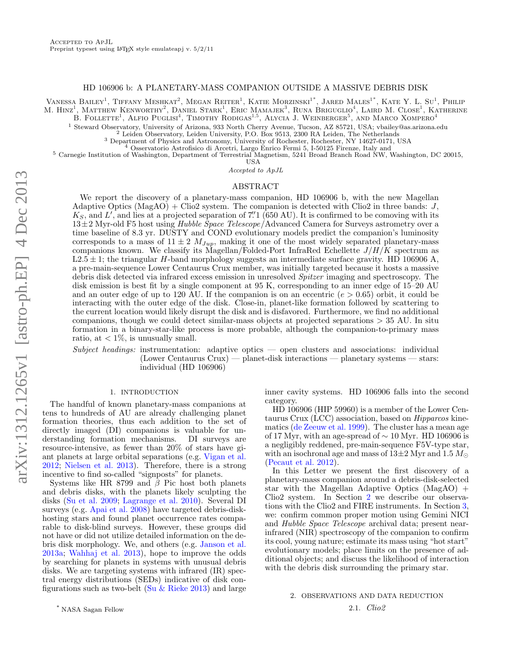## HD 106906 b: A PLANETARY-MASS COMPANION OUTSIDE A MASSIVE DEBRIS DISK

VANESSA BAILEY<sup>1</sup>, TIFFANY MESHKAT<sup>2</sup>, MEGAN REITER<sup>1</sup>, KATIE MORZINSKI<sup>1\*</sup>, JARED MALES<sup>1\*</sup>, KATE Y. L. Su<sup>1</sup>, PHILIP M. HINZ<sup>1</sup>, MATTHEW KENWORTHY<sup>2</sup>, DANIEL STARK<sup>1</sup>, ERIC MAMAJEK<sup>3</sup>, RUNA BRIGUGLIO<sup>4</sup>, LAIRD M. CLOSE<sup>1</sup>, KATHERINE B. FOLLETTE<sup>1</sup>, ALFIO PUGLISI<sup>4</sup>, TIMOTHY RODIGAS<sup>1,5</sup>, ALYCIA J. WEINBERGER<sup>5</sup>, AND MARCO XOMPERO<sup>4</sup>

<sup>1</sup> Steward Observatory, University of Arizona, 933 North Cherry Avenue, Tucson, AZ 85721, USA; vbailey@as.arizona.edu

<sup>2</sup> Leiden Observatory, Leiden University, P.O. Box 9513, 2300 RA Leiden, The Netherlands

<sup>3</sup> Department of Physics and Astronomy, University of Rochester, Rochester, NY 14627-0171, USA

<sup>4</sup> Osservatorio Astrofisico di Arcetri, Largo Enrico Fermi 5, I-50125 Firenze, Italy and <sup>5</sup> Carnegie Institution of Washington, Department of Terrestrial Magnetism, 5241 Broad Branch Road NW, Washington, DC 20015,

USA

Accepted to ApJL

# ABSTRACT

We report the discovery of a planetary-mass companion, HD 106906 b, with the new Magellan Adaptive Optics ( $\text{MagAO}$ ) + Clio2 system. The companion is detected with Clio2 in three bands: J,  $K_S$ , and L', and lies at a projected separation of 7'' 1 (650 AU). It is confirmed to be comoving with its  $13\pm2$  Myr-old F5 host using Hubble Space Telescope/Advanced Camera for Surveys astrometry over a time baseline of 8.3 yr. DUSTY and COND evolutionary models predict the companion's luminosity corresponds to a mass of  $11 \pm 2$   $M_{Jup}$ , making it one of the most widely separated planetary-mass companions known. We classify its Magellan/Folded-Port InfraRed Echellette  $J/H/K$  spectrum as  $L2.5 \pm 1$ ; the triangular H-band morphology suggests an intermediate surface gravity. HD 106906 A, a pre-main-sequence Lower Centaurus Crux member, was initially targeted because it hosts a massive debris disk detected via infrared excess emission in unresolved Spitzer imaging and spectroscopy. The disk emission is best fit by a single component at 95 K, corresponding to an inner edge of 15–20 AU and an outer edge of up to 120 AU. If the companion is on an eccentric  $(e > 0.65)$  orbit, it could be interacting with the outer edge of the disk. Close-in, planet-like formation followed by scattering to the current location would likely disrupt the disk and is disfavored. Furthermore, we find no additional companions, though we could detect similar-mass objects at projected separations > 35 AU. In situ formation in a binary-star-like process is more probable, although the companion-to-primary mass ratio, at  $\langle 1\%, \text{ is unusually small.} \rangle$ 

Subject headings: instrumentation: adaptive optics — open clusters and associations: individual (Lower Centaurus Crux) — planet-disk interactions — planetary systems — stars: individual (HD 106906)

### 1. INTRODUCTION

The handful of known planetary-mass companions at tens to hundreds of AU are already challenging planet formation theories, thus each addition to the set of directly imaged (DI) companions is valuable for understanding formation mechanisms. DI surveys are resource-intensive, as fewer than 20% of stars have giant planets at large orbital separations (e.g. [Vigan et al.](#page-6-0) [2012;](#page-6-0) [Nielsen et al.](#page-6-1) [2013\)](#page-6-1). Therefore, there is a strong incentive to find so-called "signposts" for planets.

Systems like HR 8799 and  $\bar{\beta}$  Pic host both planets and debris disks, with the planets likely sculpting the disks [\(Su et al.](#page-6-2) [2009;](#page-6-2) [Lagrange et al.](#page-6-3) [2010\)](#page-6-3). Several DI surveys (e.g. [Apai et al.](#page-5-0) [2008\)](#page-5-0) have targeted debris-diskhosting stars and found planet occurrence rates comparable to disk-blind surveys. However, these groups did not have or did not utilize detailed information on the debris disk morphology. We, and others (e.g. [Janson et al.](#page-6-4) [2013a;](#page-6-4) [Wahhaj et al.](#page-6-5) [2013\)](#page-6-5), hope to improve the odds by searching for planets in systems with unusual debris disks. We are targeting systems with infrared (IR) spectral energy distributions (SEDs) indicative of disk configurations such as two-belt (Su  $&$  Rieke [2013\)](#page-6-6) and large

inner cavity systems. HD 106906 falls into the second category.

HD 106906 (HIP 59960) is a member of the Lower Centaurus Crux (LCC) association, based on Hipparcos kinematics [\(de Zeeuw et al.](#page-6-7) [1999\)](#page-6-7). The cluster has a mean age of 17 Myr, with an age-spread of  $\sim 10$  Myr. HD 106906 is a negligibly reddened, pre-main-sequence F5V-type star, with an isochronal age and mass of  $13\pm2$  Myr and  $1.5 M_{\odot}$ [\(Pecaut et al.](#page-6-8) [2012\)](#page-6-8).

In this Letter we present the first discovery of a planetary-mass companion around a debris-disk-selected star with the Magellan Adaptive Optics  $(MagAO)$  + Clio2 system. In Section [2](#page-0-0) we describe our observations with the Clio2 and FIRE instruments. In Section [3,](#page-1-0) we: confirm common proper motion using Gemini NICI and Hubble Space Telescope archival data; present nearinfrared (NIR) spectroscopy of the companion to confirm its cool, young nature; estimate its mass using "hot start" evolutionary models; place limits on the presence of additional objects; and discuss the likelihood of interaction with the debris disk surrounding the primary star.

# <span id="page-0-0"></span>2. OBSERVATIONS AND DATA REDUCTION

2.1. Clio2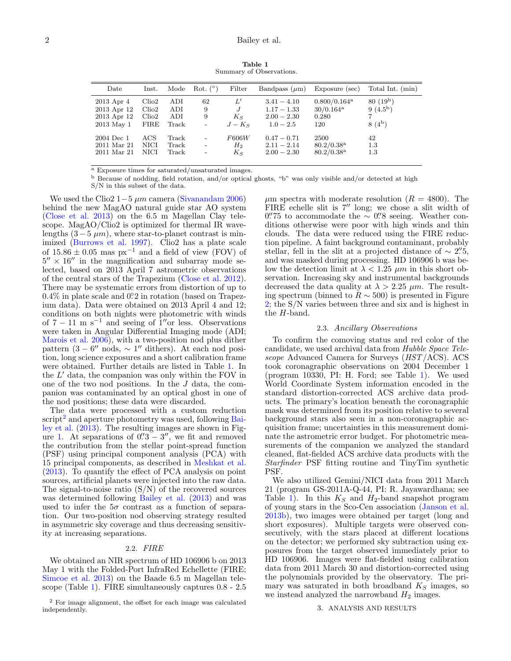Table 1 Summary of Observations.

<span id="page-1-1"></span>

| Date                                                   | $_{\rm Inst.}$                                          | Mode                       | Rot. $(°)$                               | Filter                                | Bandpass $(\mu m)$                                             | Exposure (sec)                                                   | Total Int. (min)                     |
|--------------------------------------------------------|---------------------------------------------------------|----------------------------|------------------------------------------|---------------------------------------|----------------------------------------------------------------|------------------------------------------------------------------|--------------------------------------|
| 2013 Apr 4<br>2013 Apr 12<br>2013 Apr 12<br>2013 May 1 | Clio <sub>2</sub><br>Clio2<br>Clio <sub>2</sub><br>FIRE | ADI<br>ADI<br>ADI<br>Track | 62<br>9<br>9<br>$\overline{\phantom{a}}$ | L'<br>$J_{\rm}$<br>$K_{S}$<br>$J-K_S$ | $3.41 - 4.10$<br>$1.17 - 1.33$<br>$2.00 - 2.30$<br>$1.0 - 2.5$ | $0.800/0.164$ <sup>a</sup><br>$30/0.164^{\rm a}$<br>0.280<br>120 | $80(19^b)$<br>$9(4.5^b)$<br>$8(4^b)$ |
| 2004 Dec 1<br>2011 Mar 21<br>2011 Mar 21               | ACS<br>NICI<br>NICI                                     | Track<br>Track<br>Track    | $\overline{a}$<br>$\overline{a}$         | F606W<br>$H_2$<br>$K_{S}$             | $0.47 - 0.71$<br>$2.11 - 2.14$<br>$2.00 - 2.30$                | 2500<br>$80.2/0.38$ <sup>a</sup><br>$80.2/0.38^{\rm a}$          | 42<br>1.3<br>$1.3\,$                 |

<sup>a</sup> Exposure times for saturated/unsaturated images.

<sup>b</sup> Because of nodding, field rotation, and/or optical ghosts, "b" was only visible and/or detected at high

S/N in this subset of the data.

We used the Clio2  $1-5 \mu m$  camera [\(Sivanandam](#page-6-9) [2006\)](#page-6-9) behind the new MagAO natural guide star AO system [\(Close et al.](#page-6-10) [2013\)](#page-6-10) on the 6.5 m Magellan Clay telescope. MagAO/Clio2 is optimized for thermal IR wavelengths  $(3-5 \mu m)$ , where star-to-planet contrast is minimized [\(Burrows et al.](#page-6-11) [1997\)](#page-6-11). Clio2 has a plate scale of  $15.86 \pm 0.05$  mas px<sup>-1</sup> and a field of view (FOV) of  $5'' \times 16''$  in the magnification and subarray mode selected, based on 2013 April 7 astrometric observations of the central stars of the Trapezium [\(Close et al.](#page-6-12) [2012\)](#page-6-12). There may be systematic errors from distortion of up to  $0.4\%$  in plate scale and  $0.2$  in rotation (based on Trapezium data). Data were obtained on 2013 April 4 and 12; conditions on both nights were photometric with winds of  $7 - 11$  m s<sup>-1</sup> and seeing of 1″or less. Observations were taken in Angular Differential Imaging mode (ADI; [Marois et al.](#page-6-13) [2006\)](#page-6-13), with a two-position nod plus dither pattern  $(3 - 6'' \text{ nodes}, \sim 1'' \text{ dithers})$ . At each nod position, long science exposures and a short calibration frame were obtained. Further details are listed in Table [1.](#page-1-1) In the  $L'$  data, the companion was only within the FOV in one of the two nod positions. In the  $J$  data, the companion was contaminated by an optical ghost in one of the nod positions; these data were discarded.

The data were processed with a custom reduction script<sup>[2](#page-1-2)</sup> and aperture photometry was used, following [Bai](#page-5-1)[ley et al.](#page-5-1) [\(2013\)](#page-5-1). The resulting images are shown in Fig-ure [1.](#page-2-0) At separations of  $0\rlap{.}^{\prime\prime}3 - 3\rlap{.}^{\prime\prime}$ , we fit and removed the contribution from the stellar point-spread function (PSF) using principal component analysis (PCA) with 15 principal components, as described in [Meshkat et al.](#page-6-14) [\(2013\)](#page-6-14). To quantify the effect of PCA analysis on point sources, artificial planets were injected into the raw data. The signal-to-noise ratio  $(S/N)$  of the recovered sources was determined following [Bailey et al.](#page-5-1) [\(2013\)](#page-5-1) and was used to infer the  $5\sigma$  contrast as a function of separation. Our two-position nod observing strategy resulted in asymmetric sky coverage and thus decreasing sensitivity at increasing separations.

## 2.2. FIRE

We obtained an NIR spectrum of HD 106906 b on 2013 May 1 with the Folded-Port InfraRed Echellette (FIRE; [Simcoe et al.](#page-6-15) [2013\)](#page-6-15) on the Baade 6.5 m Magellan telescope (Table [1\)](#page-1-1). FIRE simultaneously captures 0.8 - 2.5

 $\mu$ m spectra with moderate resolution ( $R = 4800$ ). The FIRE echelle slit is  $7''$  long; we chose a slit width of  $0\rlap{.}^{\prime\prime}75$  to accommodate the  $\sim 0\rlap{.}^{\prime\prime}8$  seeing. Weather conditions otherwise were poor with high winds and thin clouds. The data were reduced using the FIRE reduction pipeline. A faint background contaminant, probably stellar, fell in the slit at a projected distance of  $\sim 2\rlap{.}^{\prime\prime}5$ , and was masked during processing. HD 106906 b was below the detection limit at  $\lambda < 1.25 \ \mu m$  in this short observation. Increasing sky and instrumental backgrounds decreased the data quality at  $\lambda > 2.25$   $\mu$ m. The resulting spectrum (binned to  $R \sim 500$ ) is presented in Figure [2;](#page-4-0) the S/N varies between three and six and is highest in the H-band.

#### 2.3. Ancillary Observations

To confirm the comoving status and red color of the candidate, we used archival data from Hubble Space Telescope Advanced Camera for Surveys (HST/ACS). ACS took coronagraphic observations on 2004 December 1 (program 10330, PI: H. Ford; see Table [1\)](#page-1-1). We used World Coordinate System information encoded in the standard distortion-corrected ACS archive data products. The primary's location beneath the coronagraphic mask was determined from its position relative to several background stars also seen in a non-coronagraphic acquisition frame; uncertainties in this measurement dominate the astrometric error budget. For photometric measurements of the companion we analyzed the standard cleaned, flat-fielded ACS archive data products with the Starfinder PSF fitting routine and TinyTim synthetic PSF.

We also utilized Gemini/NICI data from 2011 March 21 (program GS-2011A-Q-44, PI: R. Jayawardhana; see Table [1\)](#page-1-1). In this  $K<sub>S</sub>$  and  $H<sub>2</sub>$ -band snapshot program of young stars in the Sco-Cen association [\(Janson et al.](#page-6-16) [2013b\)](#page-6-16), two images were obtained per target (long and short exposures). Multiple targets were observed consecutively, with the stars placed at different locations on the detector; we performed sky subtraction using exposures from the target observed immediately prior to HD 106906. Images were flat-fielded using calibration data from 2011 March 30 and distortion-corrected using the polynomials provided by the observatory. The primary was saturated in both broadband  $K<sub>S</sub>$  images, so we instead analyzed the narrowband  $H_2$  images.

## <span id="page-1-0"></span>3. ANALYSIS AND RESULTS

<span id="page-1-2"></span><sup>2</sup> For image alignment, the offset for each image was calculated independently.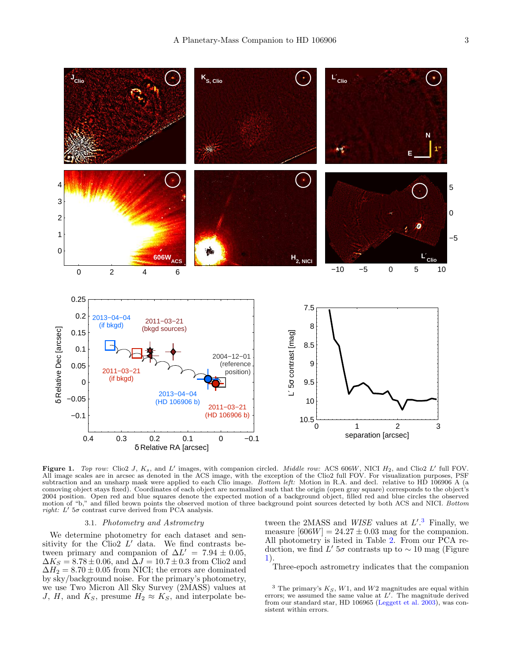

<span id="page-2-0"></span>Figure 1. Top row: Clio2 J,  $K_s$ , and L' images, with companion circled. Middle row: ACS 606W, NICI  $H_2$ , and Clio2 L' full FOV. All image scales are in arcsec as denoted in the ACS image, with the exception of the Clio2 full FOV. For visualization purposes, PSF subtraction and an unsharp mask were applied to each Clio image. Bottom left: Motion in R.A. and decl. relative to HD 106906 A (a comoving object stays fixed). Coordinates of each object are normalized such that the origin (open gray square) corresponds to the object's 2004 position. Open red and blue squares denote the expected motion of a background object, filled red and blue circles the observed motion of "b," and filled brown points the observed motion of three background point sources detected by both ACS and NICI. Bottom right:  $L'$  5 $\sigma$  contrast curve derived from PCA analysis.

# 3.1. Photometry and Astrometry

We determine photometry for each dataset and sensitivity for the Clio2  $L'$  data. We find contrasts between primary and companion of  $\Delta L' = 7.94 \pm 0.05$ ,  $\Delta K_S = 8.78 \pm 0.06$ , and  $\Delta J = 10.7 \pm 0.3$  from Clio2 and  $\Delta H_2 = 8.70 \pm 0.05$  from NICI; the errors are dominated by sky/background noise. For the primary's photometry, we use Two Micron All Sky Survey (2MASS) values at J, H, and  $K_S$ , presume  $H_2 \approx K_S$ , and interpolate be-

tween the 2MASS and  $WISE$  values at  $L^{\prime.3}$  $L^{\prime.3}$  $L^{\prime.3}$  Finally, we measure  $[606W] = 24.27 \pm 0.03$  mag for the companion. All photometry is listed in Table [2.](#page-3-0) From our PCA reduction, we find L'  $5\sigma$  contrasts up to  $\sim$  10 mag (Figure [1\)](#page-2-0).

Three-epoch astrometry indicates that the companion

<span id="page-2-1"></span> $3$  The primary's  $K_S$ ,  $W1$ , and  $W2$  magnitudes are equal within errors; we assumed the same value at  $L^{\prime}$ . The magnitude derived from our standard star, HD 106965 [\(Leggett et al.](#page-6-17) [2003\)](#page-6-17), was consistent within errors.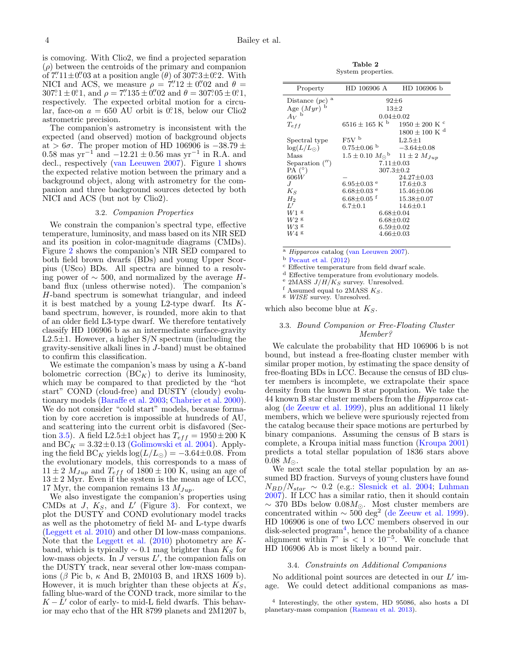is comoving. With Clio2, we find a projected separation  $(\rho)$  between the centroids of the primary and companion of  $7'' \cdot 11 \pm 0'' \cdot 03$  at a position angle  $(\theta)$  of  $307^\circ 3 \pm 0^\circ 2$ . With NICI and ACS, we measure  $\rho = 7'' \cdot 12 \pm 0'' \cdot 02$  and  $\theta =$  $307^{\circ}1 \pm 0^{\circ}1$ , and  $\rho = 7''\cancel{1}35 \pm 0''\cancel{0}2$  and  $\theta = 307^{\circ}05 \pm 0^{\circ}1$ , respectively. The expected orbital motion for a circular, face-on  $a = 650$  AU orbit is 0. 18, below our Clio2 astrometric precision.

The companion's astrometry is inconsistent with the expected (and observed) motion of background objects at > 6 $\sigma$ . The proper motion of HD 106906 is  $-38.79 \pm$ 0.58 mas yr<sup>-1</sup> and  $-12.21 \pm 0.56$  mas yr<sup>-1</sup> in R.A. and decl., respectively [\(van Leeuwen](#page-6-18) [2007\)](#page-6-18). Figure [1](#page-2-0) shows the expected relative motion between the primary and a background object, along with astrometry for the companion and three background sources detected by both NICI and ACS (but not by Clio2).

# 3.2. Companion Properties

We constrain the companion's spectral type, effective temperature, luminosity, and mass based on its NIR SED and its position in color-magnitude diagrams (CMDs). Figure [2](#page-4-0) shows the companion's NIR SED compared to both field brown dwarfs (BDs) and young Upper Scorpius (USco) BDs. All spectra are binned to a resolving power of ∼ 500, and normalized by the average Hband flux (unless otherwise noted). The companion's H-band spectrum is somewhat triangular, and indeed it is best matched by a young L2-type dwarf. Its  $K$ band spectrum, however, is rounded, more akin to that of an older field L3-type dwarf. We therefore tentatively classify HD 106906 b as an intermediate surface-gravity L2.5 $\pm$ 1. However, a higher S/N spectrum (including the gravity-sensitive alkali lines in J-band) must be obtained to confirm this classification.

We estimate the companion's mass by using a  $K$ -band bolometric correction  $(BC_K)$  to derive its luminosity, which may be compared to that predicted by the "hot start" COND (cloud-free) and DUSTY (cloudy) evolutionary models [\(Baraffe et al.](#page-5-2) [2003;](#page-5-2) [Chabrier et al.](#page-6-19) [2000\)](#page-6-19). We do not consider "cold start" models, because formation by core accretion is impossible at hundreds of AU, and scattering into the current orbit is disfavored (Sec-tion [3.5\)](#page-5-3). A field L2.5 $\pm$ 1 object has  $T_{eff} = 1950 \pm 200$  K and  $BC_K = 3.32 \pm 0.13$  [\(Golimowski et al.](#page-6-20) [2004\)](#page-6-20). Applying the field BC<sub>K</sub> yields  $log(L/L_{\odot}) = -3.64 \pm 0.08$ . From the evolutionary models, this corresponds to a mass of  $11 \pm 2$   $M_{Jup}$  and  $T_{eff}$  of  $1800 \pm 100$  K, using an age of  $13 \pm 2$  Myr. Even if the system is the mean age of LCC, 17 Myr, the companion remains 13  $M_{Jup}$ .

We also investigate the companion's properties using CMDs at  $J$ ,  $K_S$ , and  $L'$  (Figure [3\)](#page-4-1). For context, we plot the DUSTY and COND evolutionary model tracks as well as the photometry of field M- and L-type dwarfs [\(Leggett et al.](#page-6-21) [2010\)](#page-6-21) and other DI low-mass companions. Note that the [Leggett et al.](#page-6-21)  $(2010)$  photometry are Kband, which is typically  $\sim 0.1$  mag brighter than  $K_S$  for low-mass objects. In  $\tilde{J}$  versus  $L'$ , the companion falls on the DUSTY track, near several other low-mass companions ( $\beta$  Pic b,  $\kappa$  And B, 2M0103 B, and 1RXS 1609 b). However, it is much brighter than these objects at  $K_S$ , falling blue-ward of the COND track, more similar to the  $K - \tilde{L}'$  color of early- to mid-L field dwarfs. This behavior may echo that of the HR 8799 planets and 2M1207 b,

Table 2 System properties.

<span id="page-3-0"></span>

| Property            | HD 106906 A                                                  | HD 106906 b                   |  |  |  |
|---------------------|--------------------------------------------------------------|-------------------------------|--|--|--|
| Distance $~(pc)$ a  | $92 \pm 6$                                                   |                               |  |  |  |
| Age $(Myr)^b$       | $13 + 2$                                                     |                               |  |  |  |
| $A_V$ <sup>b</sup>  | $0.04 + 0.02$                                                |                               |  |  |  |
| $T_{eff}$           | $6516 \pm 165$ K <sup>b</sup>                                | $1950\pm200$ K $^{\rm c}$     |  |  |  |
|                     |                                                              | $1800 \pm 100$ K <sup>d</sup> |  |  |  |
| Spectral type       | $F5V$ <sup>b</sup>                                           | $L2.5 \pm 1$                  |  |  |  |
| $\log(L/L_{\odot})$ | $0.75 \pm 0.06$ b                                            | $-3.64{\pm}0.08$              |  |  |  |
| Mass                | $1.5 \pm 0.10 \ M_{\odot}$ <sup>b</sup> $11 \pm 2 \ M_{Jup}$ |                               |  |  |  |
| Separation $('')$   | $7.11 \pm 0.03$                                              |                               |  |  |  |
| $PA(^{\circ})$      | $307.3 \pm 0.2$                                              |                               |  |  |  |
| 606W                |                                                              | $24.27 \pm 0.03$              |  |  |  |
| .І                  | $6.95 \pm 0.03$ e                                            | $17.6 \pm 0.3$                |  |  |  |
| $K_S$               | $6.68 \pm 0.03$ $^{\rm e}$                                   | $15.46 \pm 0.06$              |  |  |  |
| $H_2$               | $6.68 \pm 0.05$ <sup>f</sup>                                 | $15.38 \pm 0.07$              |  |  |  |
| L'                  | $6.7 \pm 0.1$                                                | $14.6 + 0.1$                  |  |  |  |
| W1 s                | $6.68 {\pm} 0.04$                                            |                               |  |  |  |
| $W2$ g              | $6.68 \pm 0.02$                                              |                               |  |  |  |
| W3 g                | $6.59 \pm 0.02$                                              |                               |  |  |  |
| $W4$ g              | $4.66 \pm 0.03$                                              |                               |  |  |  |
|                     |                                                              |                               |  |  |  |

Hipparcos catalog [\(van Leeuwen](#page-6-18) [2007\)](#page-6-18).

<sup>b</sup> [Pecaut et al.](#page-6-8) [\(2012\)](#page-6-8)

<sup>c</sup> Effective temperature from field dwarf scale.

<sup>d</sup> Effective temperature from evolutionary models.

<sup>e</sup> 2MASS  $J/H/K_S$  survey. Unresolved.

f Assumed equal to 2MASS  $K_S$ .

<sup>g</sup> WISE survey. Unresolved.

which also become blue at  $K_S$ .

# 3.3. Bound Companion or Free-Floating Cluster Member?

We calculate the probability that HD 106906 b is not bound, but instead a free-floating cluster member with similar proper motion, by estimating the space density of free-floating BDs in LCC. Because the census of BD cluster members is incomplete, we extrapolate their space density from the known B star population. We take the 44 known B star cluster members from the Hipparcos catalog [\(de Zeeuw et al.](#page-6-7) [1999\)](#page-6-7), plus an additional 11 likely members, which we believe were spuriously rejected from the catalog because their space motions are perturbed by binary companions. Assuming the census of B stars is complete, a Kroupa initial mass function [\(Kroupa](#page-6-22) [2001\)](#page-6-22) predicts a total stellar population of 1836 stars above  $0.08 M_{\odot}$ .

We next scale the total stellar population by an assumed BD fraction. Surveys of young clusters have found  $N_{BD}/N_{star} \sim 0.2$  (e.g.: [Slesnick et al.](#page-6-23) [2004;](#page-6-23) [Luhman](#page-6-24) [2007\)](#page-6-24). If LCC has a similar ratio, then it should contain  $\sim$  370 BDs below 0.08 $M_{\odot}$ . Most cluster members are concentrated within  $\sim 500 \text{ deg}^2$  [\(de Zeeuw et al.](#page-6-7) [1999\)](#page-6-7). HD 106906 is one of two LCC members observed in our disk-selected program<sup>[4](#page-3-1)</sup>, hence the probability of a chance alignment within  $7"$  is  $< 1 \times 10^{-5}$ . We conclude that HD 106906 Ab is most likely a bound pair.

# 3.4. Constraints on Additional Companions

<span id="page-3-2"></span>No additional point sources are detected in our  $L'$  image. We could detect additional companions as mas-

<span id="page-3-1"></span>4 Interestingly, the other system, HD 95086, also hosts a DI planetary-mass companion [\(Rameau et al.](#page-6-25) [2013\)](#page-6-25).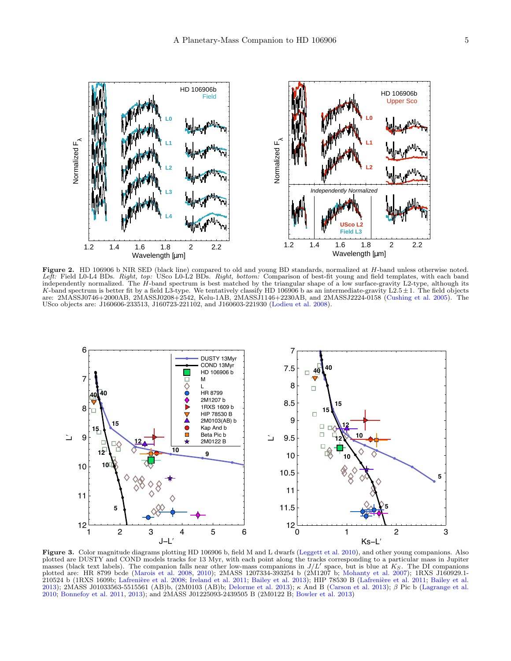

<span id="page-4-0"></span>Figure 2. HD 106906 b NIR SED (black line) compared to old and young BD standards, normalized at H-band unless otherwise noted. Left: Field L0-L4 BDs. Right, top: USco L0-L2 BDs. Right, bottom: Comparison of best-fit young and field templates, with each band independently normalized. The H-band spectrum is best matched by the triangular shape of a low surface-gravity L2-type, although its K-band spectrum is better fit by a field L3-type. We tentatively classify HD 106906 b as an intermediate-gravity L2.5 $\pm$ 1. The field objects are: 2MASSJ0746+2000AB, 2MASSJ0208+2542, Kelu-1AB, 2MASSJ1146+2230AB, and 2MASSJ2224-0158 [\(Cushing et al.](#page-6-26) [2005\)](#page-6-26). The USco objects are: J160606-233513, J160723-221102, and J160603-221930 [\(Lodieu et al.](#page-6-27) [2008\)](#page-6-27).



<span id="page-4-1"></span>Figure 3. Color magnitude diagrams plotting HD 106906 b, field M and L dwarfs [\(Leggett et al.](#page-6-21) [2010\)](#page-6-21), and other young companions. Also plotted are DUSTY and COND models tracks for 13 Myr, with each point along the tracks corresponding to a particular mass in Jupiter masses (black text labels). The companion falls near other low-mass companions in  $J/L'$  space, but is blue at  $K_S$ . The DI companions plotted are: HR 8799 bcde [\(Marois et al.](#page-6-28) [2008,](#page-6-28) [2010\)](#page-6-29); 2MASS 1207334-393254 b (2M1207 b; [Mohanty et al.](#page-6-30) [2007\)](#page-6-30); 1RXS J160929.1- 210524 b (1RXS 1609b; Lafrenière et al. [2008;](#page-6-31) [Ireland et al.](#page-6-32) [2011;](#page-6-33) [Bailey et al.](#page-5-1) [2013\)](#page-5-1); HIP 78530 B (Lafrenière et al. 2011; Bailey et al. [2013\)](#page-6-35); 2MASS J01033563-5515561 (AB)b, (2M0103 (AB)b; [Delorme et al.](#page-6-34) 2013); κ And B [\(Carson et al.](#page-6-35) 2013); β Pic b [\(Lagrange et al.](#page-6-3) [2010;](#page-6-3) [Bonnefoy et al.](#page-6-36) [2011,](#page-6-36) [2013\)](#page-6-37); and 2MASS J01225093-2439505 B (2M0122 B; [Bowler et al.](#page-6-38) [2013\)](#page-6-38)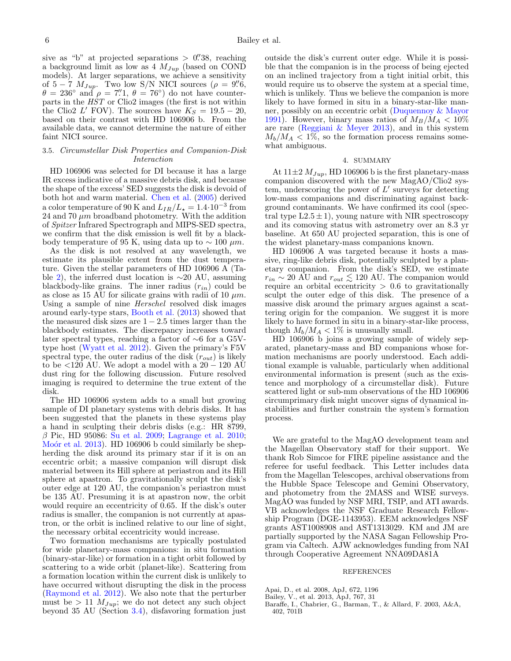sive as "b" at projected separations  $> 0.^{\prime\prime}38$ , reaching a background limit as low as  $4 M_{Jup}$  (based on COND models). At larger separations, we achieve a sensitivity of  $5-7$   $M_{Jup}$ . Two low S/N NICI sources ( $\rho = 9\rlap{.}^{\prime\prime}\acute{6}$ ,  $\theta = 236^{\circ}$  and  $\rho = 7''\dots$ ,  $\theta = 76^{\circ}$  do not have counterparts in the HST or Clio2 images (the first is not within the Clio2 L' FOV). The sources have  $K_S = 19.5 - 20$ , based on their contrast with HD 106906 b. From the available data, we cannot determine the nature of either faint NICI source.

# <span id="page-5-3"></span>3.5. Circumstellar Disk Properties and Companion-Disk Interaction

HD 106906 was selected for DI because it has a large IR excess indicative of a massive debris disk, and because the shape of the excess' SED suggests the disk is devoid of both hot and warm material. [Chen et al.](#page-6-39) [\(2005\)](#page-6-39) derived a color temperature of 90 K and  $L_{IR}/L_{\star} = 1.4 \cdot 10^{-3}$  from 24 and 70  $\mu$ m broadband photometry. With the addition of Spitzer Infrared Spectrograph and MIPS-SED spectra, we confirm that the disk emission is well fit by a blackbody temperature of 95 K, using data up to  $\sim 100 \ \mu m$ .

As the disk is not resolved at any wavelength, we estimate its plausible extent from the dust temperature. Given the stellar parameters of HD 106906 A (Ta-ble [2\)](#page-3-0), the inferred dust location is  $\sim$ 20 AU, assuming blackbody-like grains. The inner radius  $(r_{in})$  could be as close as 15 AU for silicate grains with radii of 10  $\mu$ m. Using a sample of nine Herschel resolved disk images around early-type stars, [Booth et al.](#page-6-40) [\(2013\)](#page-6-40) showed that the measured disk sizes are  $1 - 2.5$  times larger than the blackbody estimates. The discrepancy increases toward later spectral types, reaching a factor of ∼6 for a G5Vtype host [\(Wyatt et al.](#page-6-41) [2012\)](#page-6-41). Given the primary's F5V spectral type, the outer radius of the disk  $(r_{out})$  is likely to be  $\langle 120 \text{ AU}$ . We adopt a model with a  $20 - 120 \text{ AU}$ dust ring for the following discussion. Future resolved imaging is required to determine the true extent of the disk.

The HD 106906 system adds to a small but growing sample of DI planetary systems with debris disks. It has been suggested that the planets in these systems play a hand in sculpting their debris disks (e.g.: HR 8799,  $\beta$  Pic, HD 95086: [Su et al.](#page-6-2) [2009;](#page-6-2) [Lagrange et al.](#page-6-3) [2010;](#page-6-3) Moór et al. [2013\)](#page-6-42). HD 106906 b could similarly be shepherding the disk around its primary star if it is on an eccentric orbit; a massive companion will disrupt disk material between its Hill sphere at periastron and its Hill sphere at apastron. To gravitationally sculpt the disk's outer edge at 120 AU, the companion's periastron must be 135 AU. Presuming it is at apastron now, the orbit would require an eccentricity of 0.65. If the disk's outer radius is smaller, the companion is not currently at apastron, or the orbit is inclined relative to our line of sight, the necessary orbital eccentricity would increase.

Two formation mechanisms are typically postulated for wide planetary-mass companions: in situ formation (binary-star-like) or formation in a tight orbit followed by scattering to a wide orbit (planet-like). Scattering from a formation location within the current disk is unlikely to have occurred without disrupting the disk in the process [\(Raymond et al.](#page-6-43) [2012\)](#page-6-43). We also note that the perturber must be  $> 11$   $M_{Jup}$ ; we do not detect any such object beyond 35 AU (Section [3.4\)](#page-3-2), disfavoring formation just

outside the disk's current outer edge. While it is possible that the companion is in the process of being ejected on an inclined trajectory from a tight initial orbit, this would require us to observe the system at a special time, which is unlikely. Thus we believe the companion is more likely to have formed in situ in a binary-star-like manner, possibly on an eccentric orbit [\(Duquennoy & Mayor](#page-6-44) [1991\)](#page-6-44). However, binary mass ratios of  $M_B/M_A < 10\%$ are rare (Reggiani  $\&$  Meyer [2013\)](#page-6-45), and in this system  $M_b/M_A < 1\%$ , so the formation process remains somewhat ambiguous.

# 4. SUMMARY

At  $11\pm2$   $M_{Jup}$ , HD 106906 b is the first planetary-mass companion discovered with the new MagAO/Clio2 system, underscoring the power of  $L'$  surveys for detecting low-mass companions and discriminating against background contaminants. We have confirmed its cool (spectral type  $L2.5 \pm 1$ , young nature with NIR spectroscopy and its comoving status with astrometry over an 8.3 yr baseline. At 650 AU projected separation, this is one of the widest planetary-mass companions known.

HD 106906 A was targeted because it hosts a massive, ring-like debris disk, potentially sculpted by a planetary companion. From the disk's SED, we estimate  $r_{in} \sim 20$  AU and  $r_{out} \lesssim 120$  AU. The companion would require an orbital eccentricity  $> 0.6$  to gravitationally sculpt the outer edge of this disk. The presence of a massive disk around the primary argues against a scattering origin for the companion. We suggest it is more likely to have formed in situ in a binary-star-like process, though  $M_b/M_A < 1\%$  is unusually small.

HD 106906 b joins a growing sample of widely separated, planetary-mass and BD companions whose formation mechanisms are poorly understood. Each additional example is valuable, particularly when additional environmental information is present (such as the existence and morphology of a circumstellar disk). Future scattered light or sub-mm observations of the HD 106906 circumprimary disk might uncover signs of dynamical instabilities and further constrain the system's formation process.

We are grateful to the MagAO development team and the Magellan Observatory staff for their support. We thank Rob Simcoe for FIRE pipeline assistance and the referee for useful feedback. This Letter includes data from the Magellan Telescopes, archival observations from the Hubble Space Telescope and Gemini Observatory, and photometry from the 2MASS and WISE surveys. MagAO was funded by NSF MRI, TSIP, and ATI awards. VB acknowledges the NSF Graduate Research Fellowship Program (DGE-1143953). EEM acknowledges NSF grants AST1008908 and AST1313029. KM and JM are partially supported by the NASA Sagan Fellowship Program via Caltech. AJW acknowledges funding from NAI through Cooperative Agreement NNA09DA81A

# REFERENCES

- <span id="page-5-0"></span>Apai, D., et al. 2008, ApJ, 672, 1196
- <span id="page-5-1"></span>Bailey, V., et al. 2013, ApJ, 767, 31
- <span id="page-5-2"></span>Baraffe, I., Chabrier, G., Barman, T., & Allard, F. 2003, A&A, 402, 701B